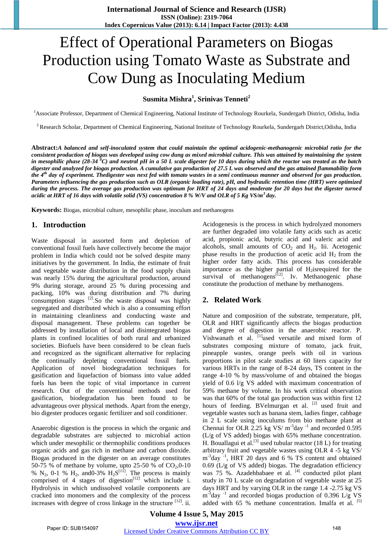# Effect of Operational Parameters on Biogas Production using Tomato Waste as Substrate and Cow Dung as Inoculating Medium

# **Susmita Mishra<sup>1</sup> , Srinivas Tenneti<sup>2</sup>**

<sup>1</sup>Associate Professor, Department of Chemical Engineering, National Institute of Technology Rourkela, Sundergarh District, Odisha, India

<sup>2</sup> Research Scholar, Department of Chemical Engineering, National Institute of Technology Rourkela, Sundergarh District,Odisha, India

**Abstract:***A balanced and self-inoculated system that could maintain the optimal acidogenic-methanogenic microbial ratio for the consistent production of biogas was developed using cow dung as mixed microbial culture. This was attained by maintaining the system in mesophilic phase (28-34 <sup>0</sup>C) and neutral pH in a 50 L scale digester for 10 days during which the reactor was treated as the batch digester and analyzed for biogas production. A cumulative gas production of 27.5 L was observed and the gas attained flammability form the 4th day of experiment. Thedigester was next fed with tomato wastes in a semi continuous manner and observed for gas production. Parameters influencing the gas production such as OLR (organic loading rate), pH, and hydraulic retention time (HRT) were optimized during the process. The average gas production was optimum for HRT of 24 days and moderate for 20 days but the digester turned acidic at HRT of 16 days with volatile solid (VS) concentration 8 % W/V and OLR of 5 Kg VS/m<sup>3</sup>day.* 

**Keywords:** Biogas, microbial culture, mesophilic phase, inoculum and methanogens

## **1. Introduction**

Waste disposal in assorted form and depletion of conventional fossil fuels have collectively become the major problem in India which could not be solved despite many initiatives by the government. In India, the estimate of fruit and vegetable waste distribution in the food supply chain was nearly 15% during the agricultural production, around 9% during storage, around 25 % during processing and packing, 10% was during distribution and 7% during consumption stages  $^{[2]}$ . So the waste disposal was highly segregated and distributed which is also a consuming effort in maintaining cleanliness and conducting waste and disposal management. These problems can together be addressed by installation of local and disintegrated biogas plants in confined localities of both rural and urbanized societies. Biofuels have been considered to be clean fuels and recognized as the significant alternative for replacing the continually depleting conventional fossil fuels. Application of novel biodegradation techniques for gasification and liquefaction of biomass into value added fuels has been the topic of vital importance in current research. Out of the conventional methods used for gasification, biodegradation has been found to be advantageous over physical methods. Apart from the energy, bio digester produces organic fertilizer and soil conditioner.

Anaerobic digestion is the process in which the organic and degradable substrates are subjected to microbial action which under mesophilic or thermophilic conditions produces organic acids and gas rich in methane and carbon dioxide. Biogas produced in the digester on an average constitutes 50-75 % of methane by volume, upto 25-50 % of  $CO_2$ , 0-10 %  $N_2$ , 0-1 %  $H_2$ , and 0-3%  $H_2S^{[11]}$ . The process is mainly comprised of 4 stages of digestion<sup>[12]</sup> which include i. Hydrolysis in which undissolved volatile components are cracked into monomers and the complexity of the process increases with degree of cross linkage in the structure [12]. ii. Acidogenesis is the process in which hydrolyzed monomers are further degraded into volatile fatty acids such as acetic acid, propionic acid, butyric acid and valeric acid and alcohols, small amounts of  $CO<sub>2</sub>$  and  $H<sub>2</sub>$ . Iii. Acetogenic phase results in the production of acetic acid  $H_2$  from the higher order fatty acids. This process has considerable importance as the higher partial of H<sub>2</sub>isrequired for the survival of methanogens<sup>[12]</sup>. Iv. Methanogenic phase constitute the production of methane by methanogens.

## **2. Related Work**

Nature and composition of the substrate, temperature, pH, OLR and HRT significantly affects the biogas production and degree of digestion in the anaerobic reactor. P. Vishwanath et al. [1]used versatile and mixed form of substrates composing mixture of tomato, jack fruit, pineapple wastes, orange peels with oil in various proportions in pilot scale studies at 60 liters capacity for various HRTs in the range of 8-24 days, TS content in the range 4-10 % by mass/volume of and obtained the biogas yield of 0.6 l/g VS added with maximum concentration of 59% methane by volume. In his work critical observation was that 60% of the total gas production was within first 12 hours of feeding. BVelmurgan et al. <sup>[2]</sup> used fruit and vegetable wastes such as banana stem, ladies finger, cabbage in 2 L scale using inoculums from bio methane plant at Chennai for OLR 2.25 kg VS/ $m^{-3}$ day<sup>-1</sup> and recorded 0.595 (L/g of VS added) biogas with 65% methane concentration. H. Bouallagui et al.<sup>[3]</sup> used tubular reactor (18 L) for treating arbitrary fruit and vegetable wastes using OLR 4 -5 kg VS/ m<sup>-3</sup>day<sup>-1</sup>, HRT 20 days and 6 % TS content and obtained 0.69 (L/g of VS added) biogas. The degradation efficiency was 75 %. Azadehbabaee et al. [4] conducted pilot plant study in 70 L scale on degradation of vegetable waste at 25 days HRT and by varying OLR in the range 1.4 -2.75 kg VS  $m<sup>3</sup>$ day <sup>-1</sup> and recorded biogas production of 0.396 L/g VS added with 65 % methane concentration. Imalfa et al. [5]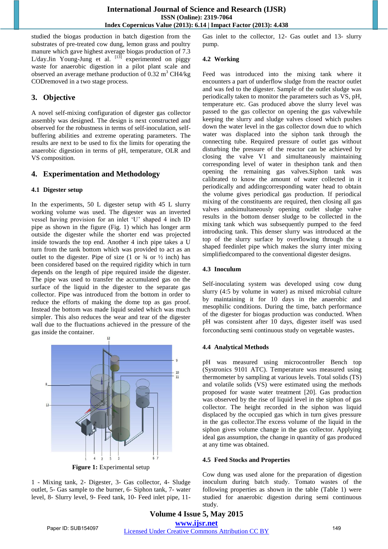studied the biogas production in batch digestion from the substrates of pre-treated cow dung, lemon grass and poultry manure which gave highest average biogas production of 7.3 L/day.Jin Young-Jung et al.  $^{[13]}$  experimented on piggy waste for anaerobic digestion in a pilot plant scale and observed an average methane production of  $0.32 \text{ m}^3$  CH4/kg CODremoved in a two stage process.

# **3. Objective**

A novel self-mixing configuration of digester gas collector assembly was designed. The design is next constructed and observed for the robustness in terms of self-inoculation, selfbuffering abilities and extreme operating parameters. The results are next to be used to fix the limits for operating the anaerobic digestion in terms of pH, temperature, OLR and VS composition.

# **4. Experimentation and Methodology**

## **4.1 Digester setup**

In the experiments, 50 L digester setup with 45 L slurry working volume was used. The digester was an inverted vessel having provision for an inlet "U" shaped 4 inch ID pipe as shown in the figure (Fig. 1) which has longer arm outside the digester while the shorter end was projected inside towards the top end. Another 4 inch pipe takes a U turn from the tank bottom which was provided to act as an outlet to the digester. Pipe of size  $(1 \text{ or } \frac{3}{4} \text{ or } \frac{1}{2} \text{ inch})$  has been considered based on the required rigidity which in turn depends on the length of pipe required inside the digester. The pipe was used to transfer the accumulated gas on the surface of the liquid in the digester to the separate gas collector. Pipe was introduced from the bottom in order to reduce the efforts of making the dome top as gas proof. Instead the bottom was made liquid sealed which was much simpler. This also reduces the wear and tear of the digester wall due to the fluctuations achieved in the pressure of the gas inside the container.



1 - Mixing tank, 2- Digester, 3- Gas collector, 4- Sludge outlet, 5- Gas sample to the burner, 6- Siphon tank, 7- water level, 8- Slurry level, 9- Feed tank, 10- Feed inlet pipe, 11-

Gas inlet to the collector, 12- Gas outlet and 13- slurry pump.

## **4.2 Working**

Feed was introduced into the mixing tank where it encounters a part of underflow sludge from the reactor outlet and was fed to the digester. Sample of the outlet sludge was periodically taken to monitor the parameters such as VS, pH, temperature etc. Gas produced above the slurry level was passed to the gas collector on opening the gas valvewhile keeping the slurry and sludge valves closed which pushes down the water level in the gas collector down due to which water was displaced into the siphon tank through the connecting tube. Required pressure of outlet gas without disturbing the pressure of the reactor can be achieved by closing the valve V1 and simultaneously maintaining corresponding level of water in thesiphon tank and then opening the remaining gas valves.Siphon tank was calibrated to know the amount of water collected in it periodically and addingcorresponding water head to obtain the volume gives periodical gas production. If periodical mixing of the constituents are required, then closing all gas valves andsimultaneously opening outlet sludge valve results in the bottom denser sludge to be collected in the mixing tank which was subsequently pumped to the feed introducing tank. This denser slurry was introduced at the top of the slurry surface by overflowing through the u shaped feedinlet pipe which makes the slurry inter mixing simplifiedcompared to the conventional digester designs.

## **4.3 Inoculum**

Self-inoculating system was developed using cow dung slurry (4:5 by volume in water) as mixed microbial culture by maintaining it for 10 days in the anaerobic and mesophilic conditions. During the time, batch performance of the digester for biogas production was conducted. When pH was consistent after 10 days, digester itself was used forconducting semi continuous study on vegetable wastes.

#### **4.4 Analytical Methods**

pH was measured using microcontroller Bench top (Systronics 9101 ATC). Temperature was measured using thermometer by sampling at various levels. Total solids (TS) and volatile solids (VS) were estimated using the methods proposed for waste water treatment [20]. Gas production was observed by the rise of liquid level in the siphon of gas collector. The height recorded in the siphon was liquid displaced by the occupied gas which in turn gives pressure in the gas collector.The excess volume of the liquid in the siphon gives volume change in the gas collector. Applying ideal gas assumption, the change in quantity of gas produced at any time was obtained.

#### **4.5 Feed Stocks and Properties**

Cow dung was used alone for the preparation of digestion inoculum during batch study. Tomato wastes of the following properties as shown in the table (Table 1) were studied for anaerobic digestion during semi continuous study.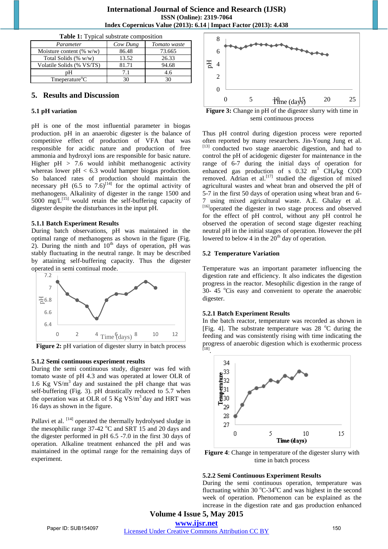## **International Journal of Science and Research (IJSR) ISSN (Online): 2319-7064 Index Copernicus Value (2013): 6.14 | Impact Factor (2013): 4.438**

| <b>rable 1.</b> Typical substrate composition |          |              |  |  |  |
|-----------------------------------------------|----------|--------------|--|--|--|
| Parameter                                     | Cow Dung | Tomato waste |  |  |  |
| Moisture content $% w/w$                      | 86.48    | 73.665       |  |  |  |
| Total Solids $(\% w/w)$                       | 13.52    | 26.33        |  |  |  |
| Volatile Solids (% VS/TS)                     | 81.71    | 94.68        |  |  |  |
| pΗ                                            | 7.1      | 4.6          |  |  |  |
| Tmeperature <sup>o</sup> C                    | 30       | 30           |  |  |  |

# **Table 1:** Typical substrate composition

## **5. Results and Discussion**

#### **5.1 pH variation**

pH is one of the most influential parameter in biogas production. pH in an anaerobic digester is the balance of competitive effect of production of VFA that was responsible for acidic nature and production of free ammonia and hydroxyl ions are responsible for basic nature. Higher  $pH > 7.6$  would inhibit methanogenic activity whereas lower  $pH < 6.3$  would hamper biogas production. So balanced rates of production should maintain the necessary pH  $(6.5 \text{ to } 7.6)^{[14]}$  for the optimal activity of methanogens. Alkalinity of digester in the range 1500 and  $5000 \text{ mg/L}^{[15]}$  would retain the self-buffering capacity of digester despite the disturbances in the input pH.

#### **5.1.1 Batch Experiment Results**

During batch observations, pH was maintained in the optimal range of methanogens as shown in the figure (Fig. 2). During the ninth and  $10<sup>th</sup>$  days of operation, pH was stably fluctuating in the neutral range. It may be described by attaining self-buffering capacity. Thus the digester operated in semi continual mode.



**Figure 2:** pH variation of digester slurry in batch process

#### **5.1.2 Semi continuous experiment results**

During the semi continuous study, digester was fed with tomato waste of pH 4.3 and was operated at lower OLR of 1.6 Kg  $VS/m^3$  day and sustained the pH change that was self-buffering (Fig. 3). pH drastically reduced to 5.7 when the operation was at OLR of 5 Kg  $VS/m<sup>3</sup>$  day and HRT was 16 days as shown in the figure.

Pallavi et al. <sup>[14]</sup> operated the thermally hydrolysed sludge in the mesophilic range  $37-42$  °C and SRT 15 and 20 days and the digester performed in pH 6.5 -7.0 in the first 30 days of operation. Alkaline treatment enhanced the pH and was maintained in the optimal range for the remaining days of experiment.



**Figure 3:** Change in pH of the digester slurry with time in semi continuous process

Thus pH control during digestion process were reported often reported by many researchers. Jin-Young Jung et al. [13] conducted two stage anaerobic digestion, and had to control the pH of acidogenic digester for maintenance in the range of 6-7 during the initial days of operation for enhanced gas production of s  $0.32 \text{ m}^3$  CH<sub>4</sub>/kg COD removed. Adrian et al.<sup>[17]</sup> studied the digestion of mixed agricultural wastes and wheat bran and observed the pH of 5-7 in the first 50 days of operation using wheat bran and 6- 7 using mixed agricultural waste. A.E. Ghalay et al. [16]<sub>operated</sub> the digester in two stage process and observed for the effect of pH control, without any pH control he observed the operation of second stage digester reaching neutral pH in the initial stages of operation. However the pH lowered to below 4 in the  $20<sup>th</sup>$  day of operation.

#### **5.2 Temperature Variation**

Temperature was an important parameter influencing the digestion rate and efficiency. It also indicates the digestion progress in the reactor. Mesophilic digestion in the range of 30- 45  $^{\circ}$ Cis easy and convenient to operate the anaerobic digester.

#### **5.2.1 Batch Experiment Results**

In the batch reactor, temperature was recorded as shown in [Fig. 4]. The substrate temperature was  $28\text{ °C}$  during the feeding and was consistently rising with time indicating the progress of anaerobic digestion which is exothermic process [18] .



**Figure 4**: Change in temperature of the digester slurry with time in batch process

#### **5.2.2 Semi Continuous Experiment Results**

During the semi continuous operation, temperature was fluctuating within 30  $\mathrm{^{\circ}C}\text{-}34\mathrm{^{\circ}C}$  and was highest in the second week of operation. Phenomenon can be explained as the increase in the digestion rate and gas production enhanced

**Volume 4 Issue 5, May 2015 www.ijsr.net**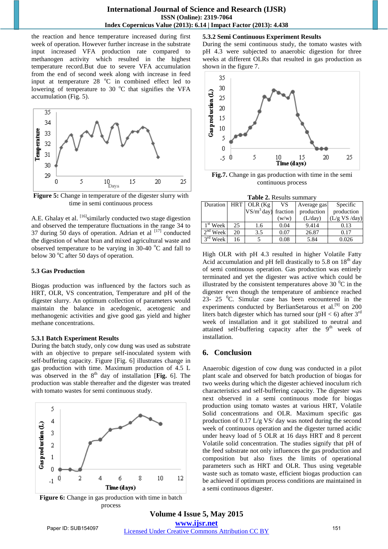## **International Journal of Science and Research (IJSR) ISSN (Online): 2319-7064 Index Copernicus Value (2013): 6.14 | Impact Factor (2013): 4.438**

the reaction and hence temperature increased during first week of operation. However further increase in the substrate input increased VFA production rate compared to methanogen activity which resulted in the highest temperature record.But due to severe VFA accumulation from the end of second week along with increase in feed input at temperature  $28\degree C$  in combined effect led to lowering of temperature to 30  $^{\circ}$ C that signifies the VFA accumulation (Fig. 5).



**Figure 5:** Change in temperature of the digester slurry with time in semi continuous process

A.E. Ghalay et al. <sup>[16]</sup>similarly conducted two stage digestion and observed the temperature fluctuations in the range 34 to 37 during 50 days of operation. Adrian et al  $^{[17]}$  conducted the digestion of wheat bran and mixed agricultural waste and observed temperature to be varying in 30-40  $^{\circ}$ C and fall to below 30  $^{\circ}$ C after 50 days of operation.

#### **5.3 Gas Production**

Biogas production was influenced by the factors such as HRT, OLR, VS concentration, Temperature and pH of the digester slurry. An optimum collection of parameters would maintain the balance in acedogenic, acetogenic and methanogenic activities and give good gas yield and higher methane concentrations.

#### **5.3.1 Batch Experiment Results**

During the batch study, only cow dung was used as substrate with an objective to prepare self-inoculated system with self-buffering capacity. Figure [Fig. 6] illustrates change in gas production with time. Maximum production of 4.5 L was observed in the  $8<sup>th</sup>$  day of installation [Fig. 6]. The production was stable thereafter and the digester was treated with tomato wastes for semi continuous study.



**Figure 6:** Change in gas production with time in batch process

## **5.3.2 Semi Continuous Experiment Results**

During the semi continuous study, the tomato wastes with pH 4.3 were subjected to anaerobic digestion for three weeks at different OLRs that resulted in gas production as shown in the figure 7.



**Fig.7.** Change in gas production with time in the semi continuous process

|  |  | Table 2. Results summary |
|--|--|--------------------------|
|--|--|--------------------------|

| <b>Duration</b>         |    | $HRT$ OLR $(Kg)$       | VS    | Average gas | Specific                         |
|-------------------------|----|------------------------|-------|-------------|----------------------------------|
|                         |    | $VS/m^3$ day) fraction |       | production  | production                       |
|                         |    |                        | (w/w) | (L/day)     | $(L/g \text{ VS } / \text{day})$ |
| $1st$ Week              | 25 | 1.6                    | 0.04  | 9.414       | 0.13                             |
| $2nd$ Week              | 20 | 3.5                    | 0.07  | 26.87       | 0.17                             |
| $2^{\text{rd}}$<br>Week | l6 |                        | 0.08  | 5.84        | 0.026                            |

High OLR with pH 4.3 resulted in higher Volatile Fatty Acid accumulation and pH fell drastically to 5.8 on  $18<sup>th</sup>$  day of semi continuous operation. Gas production was entirely terminated and yet the digester was active which could be illustrated by the consistent temperatures above 30 $\mathrm{^{0}C}$  in the digester even though the temperature of ambience reached  $23 - 25$  °C. Simular case has been encountered in the experiments conducted by BerlianSetarous et al.<sup>[9]</sup> on 200 liters batch digester which has turned sour (pH < 6) after  $3^{rd}$ week of installation and it got stabilized to neutral and attained self-buffering capacity after the  $9<sup>th</sup>$  week of installation.

## **6. Conclusion**

Anaerobic digestion of cow dung was conducted in a pilot plant scale and observed for batch production of biogas for two weeks during which the digester achieved inoculum rich characteristics and self-buffering capacity. The digester was next observed in a semi continuous mode for biogas production using tomato wastes at various HRT, Volatile Solid concentrations and OLR. Maximum specific gas production of 0.17 L/g VS/ day was noted during the second week of continuous operation and the digester turned acidic under heavy load of 5 OLR at 16 days HRT and 8 percent Volatile solid concentration. The studies signify that pH of the feed substrate not only influences the gas production and composition but also fixes the limits of operational parameters such as HRT and OLR. Thus using vegetable waste such as tomato waste, efficient biogas production can be achieved if optimum process conditions are maintained in a semi continuous digester.